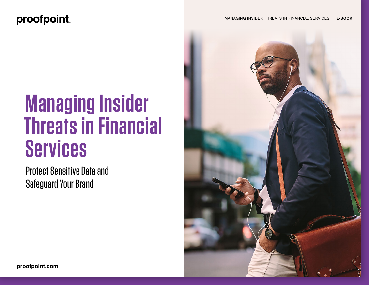### proofpoint.

# **Managing Insider Threats in Financial Services**

Protect Sensitive Data and Safeguard Your Brand

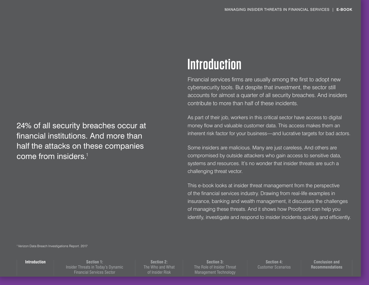<span id="page-1-0"></span>24% of all security breaches occur at financial institutions. And more than half the attacks on these companies come from insiders.<sup>1</sup>

### **Introduction**

Financial services firms are usually among the first to adopt new cybersecurity tools. But despite that investment, the sector still accounts for almost a quarter of all security breaches. And insiders contribute to more than half of these incidents.

As part of their job, workers in this critical sector have access to digital money flow and valuable customer data. This access makes them an inherent risk factor for your business—and lucrative targets for bad actors.

Some insiders are malicious. Many are just careless. And others are compromised by outside attackers who gain access to sensitive data, systems and resources. It's no wonder that insider threats are such a challenging threat vector.

This e-book looks at insider threat management from the perspective of the financial services industry. Drawing from real-life examples in insurance, banking and wealth management, it discusses the challenges of managing these threats. And it shows how Proofpoint can help you identify, investigate and respond to insider incidents quickly and efficiently.

1 Verizon Data Breach Investigations Report. 2017

**Introduction**

**Section 1:** [Insider Threats in Today's Dynamic](#page-2-0)  Financial Services Sector

**Section 2:** [The Who and What](#page-3-0)  of Insider Risk

**Section 3:** [The Role of Insider Threat](#page-5-0)  Management Technology

**Section 4:**  [Customer Scenarios](#page-6-0)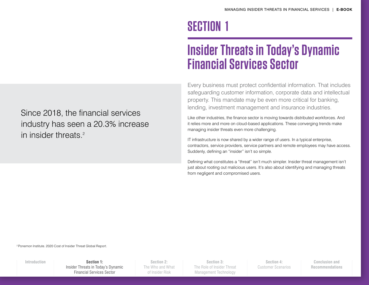### **SECTION 1**

### **Insider Threats in Today's Dynamic Financial Services Sector**

Every business must protect confidential information. That includes safeguarding customer information, corporate data and intellectual property. This mandate may be even more critical for banking, lending, investment management and insurance industries.

Like other industries, the finance sector is moving towards distributed workforces. And it relies more and more on cloud-based applications. These converging trends make managing insider threats even more challenging.

IT infrastructure is now shared by a wider range of users. In a typical enterprise, contractors, service providers, service partners and remote employees may have access. Suddenly, defining an "insider" isn't so simple.

Defining what constitutes a "threat" isn't much simpler. Insider threat management isn't just about rooting out malicious users. It's also about identifying and managing threats from negligent and compromised users.

<span id="page-2-0"></span>Since 2018, the financial services industry has seen a 20.3% increase in insider threats.<sup>2</sup>

2 Ponemon Institute. 2020 Cost of Insider Threat Global Report.

**[Introduction](#page-1-0) Section 1:** Insider Threats in Today's Dynamic Financial Services Sector

**Section 2:** [The Who and What](#page-3-0)  of Insider Risk

**Section 3:** [The Role of Insider Threat](#page-5-0)  Management Technology

**Section 4:**  [Customer Scenarios](#page-6-0)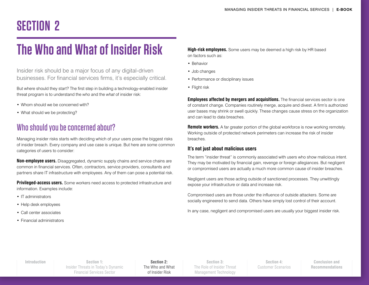## <span id="page-3-0"></span>**SECTION 2**

## **The Who and What of Insider Risk**

Insider risk should be a major focus of any digital-driven businesses. For financial services firms, it's especially critical.

But where should they start? The first step in building a technology-enabled insider threat program is to understand the *who* and the *what* of insider risk:

- Whom should we be concerned with?
- What should we be protecting?

### Who should you be concerned about?

Managing insider risks starts with deciding which of your users pose the biggest risks of insider breach. Every company and use case is unique. But here are some common categories of users to consider:

**Non-employee users.** Disaggregated, dynamic supply chains and service chains are common in financial services. Often, contractors, service providers, consultants and partners share IT infrastructure with employees. Any of them can pose a potential risk.

**Privileged-access users.** Some workers need access to protected infrastructure and information. Examples include:

- IT administrators
- Help desk employees
- Call center associates
- Financial administrators

**High-risk employees.** Some users may be deemed a high risk by HR based on factors such as:

- Behavior
- Job changes
- Performance or disciplinary issues
- Flight risk

**Employees affected by mergers and acquisitions.** The financial services sector is one of constant change. Companies routinely merge, acquire and divest. A firm's authorized user bases may shrink or swell quickly. These changes cause stress on the organization and can lead to data breaches.

**Remote workers.** A far greater portion of the global workforce is now working remotely. Working outside of protected network perimeters can increase the risk of insider breaches.

#### **It's not just about malicious users**

The term "insider threat" is commonly associated with users who show malicious intent. They may be motivated by financial gain, revenge or foreign allegiances. But negligent or compromised users are actually a much more common cause of insider breaches.

Negligent users are those acting outside of sanctioned processes. They unwittingly expose your infrastructure or data and increase risk.

Compromised users are those under the influence of outside attackers. Some are socially engineered to send data. Others have simply lost control of their account.

In any case, negligent and compromised users are usually your biggest insider risk.

**Section 1:** [Insider Threats in Today's Dynamic](#page-2-0)  Financial Services Sector **[Introduction](#page-1-0) Section 2:**

The Who and What of Insider Risk

**Section 3:** [The Role of Insider Threat](#page-5-0)  Management Technology

**Section 4:**  [Customer Scenarios](#page-6-0)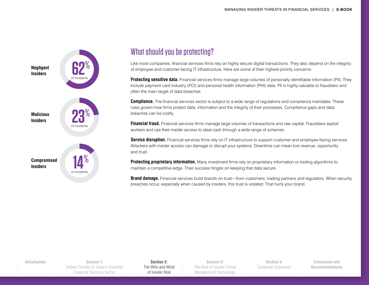

### What should you be protecting?

Like most companies, financial services firms rely on highly secure digital transactions. They also depend on the integrity of employee and customer-facing IT infrastructure. Here are some of their highest-priority concerns:

**Protecting sensitive data.** Financial services firms manage large volumes of personally identifiable information (PII). They include payment card industry (PCI) and personal health information (PHI) data. PII is highly valuable to fraudsters and often the main target of data breaches.

**Compliance.** The financial services sector is subject to a wide range of regulations and compliance mandates. These rules govern how firms protect data, information and the integrity of their processes. Compliance gaps and data breaches can be costly.

**Financial fraud.** Financial services firms manage large volumes of transactions and raw capital. Fraudsters exploit workers and use their insider access to steal cash through a wide range of schemes.

**Service disruption.** Financial services firms rely on IT infrastructure to support customer and employee-facing services. Attackers with insider access can damage or disrupt your systems. Downtime can mean lost revenue, opportunity and trust.

**Protecting proprietary information.** Many investment firms rely on proprietary information or trading algorithms to maintain a competitive edge. Their success hinges on keeping that data secure.

**Brand damage.** Financial services build brands on trust—from customers, trading partners and regulators. When security breaches occur, especially when caused by insiders, this trust is violated. That hurts your brand.

**Section 1:** [Insider Threats in Today's Dynamic](#page-2-0)  Financial Services Sector **[Introduction](#page-1-0) Section 2:**

[The Who and What](#page-3-0)  of Insider Risk

**Section 3:** [The Role of Insider Threat](#page-5-0)  Management Technology

**Section 4:**  [Customer Scenarios](#page-6-0)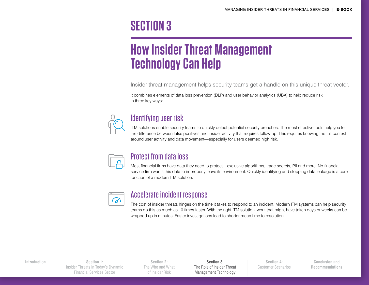### <span id="page-5-0"></span>**SECTION 3**

### **How Insider Threat Management Technology Can Help**

Insider threat management helps security teams get a handle on this unique threat vector.

It combines elements of data loss prevention (DLP) and user behavior analytics (UBA) to help reduce risk in three key ways:



### Identifying user risk

ITM solutions enable security teams to quickly detect potential security breaches. The most effective tools help you tell the difference between false positives and insider activity that requires follow-up. This requires knowing the full context around user activity and data movement—especially for users deemed high risk.



#### Protect from data loss

Most financial firms have data they need to protect—exclusive algorithms, trade secrets, PII and more. No financial service firm wants this data to improperly leave its environment. Quickly identifying and stopping data leakage is a core function of a modern ITM solution.



#### Accelerate incident response

The cost of insider threats hinges on the time it takes to respond to an incident. Modern ITM systems can help security teams do this as much as 10 times faster. With the right ITM solution, work that might have taken days or weeks can be wrapped up in minutes. Faster investigations lead to shorter mean time to resolution.

**Section 1:** [Insider Threats in Today's Dynamic](#page-2-0)  Financial Services Sector **[Introduction](#page-1-0) Section 3:**

**Section 2:** [The Who and What](#page-3-0)  of Insider Risk

The Role of Insider Threat Management Technology

**Section 4:**  [Customer Scenarios](#page-6-0)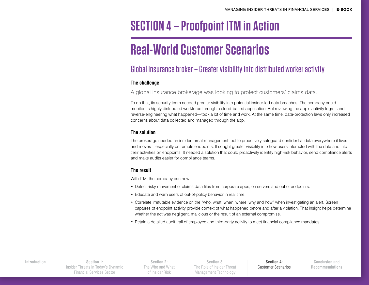### <span id="page-6-0"></span>**SECTION 4 – Proofpoint ITM in Action**

## **Real-World Customer Scenarios**

### Global insurance broker – Greater visibility into distributed worker activity

#### **The challenge**

A global insurance brokerage was looking to protect customers' claims data.

To do that, its security team needed greater visibility into potential insider-led data breaches. The company could monitor its highly distributed workforce through a cloud-based application. But reviewing the app's activity logs—and reverse-engineering what happened—took a lot of time and work. At the same time, data-protection laws only increased concerns about data collected and managed through the app.

#### **The solution**

The brokerage needed an insider threat management tool to proactively safeguard confidential data everywhere it lives and moves—especially on remote endpoints. It sought greater visibility into how users interacted with the data and into their activities on endpoints. It needed a solution that could proactively identify high-risk behavior, send compliance alerts and make audits easier for compliance teams.

#### **The result**

With ITM, the company can now:

- Detect risky movement of claims data files from corporate apps, on servers and out of endpoints.
- Educate and warn users of out-of-policy behavior in real time.
- Correlate irrefutable evidence on the "who, what, when, where, why and how" when investigating an alert. Screen captures of endpoint activity provide context of what happened before and after a violation. That insight helps determine whether the act was negligent, malicious or the result of an external compromise.
- Retain a detailed audit trail of employee and third-party activity to meet financial compliance mandates.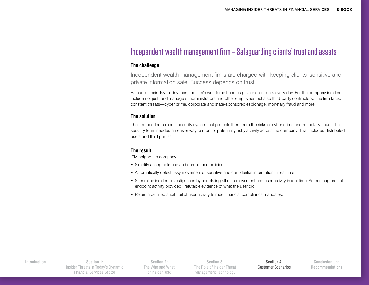#### Independent wealth management firm – Safeguarding clients' trust and assets

#### **The challenge**

Independent wealth management firms are charged with keeping clients' sensitive and private information safe. Success depends on trust.

As part of their day-to-day jobs, the firm's workforce handles private client data every day. For the company insiders include not just fund managers, administrators and other employees but also third-party contractors. The firm faced constant threats—cyber crime, corporate and state-sponsored espionage, monetary fraud and more.

#### **The solution**

The firm needed a robust security system that protects them from the risks of cyber crime and monetary fraud. The security team needed an easier way to monitor potentially risky activity across the company. That included distributed users and third parties.

#### **The result**

ITM helped the company:

- Simplify acceptable-use and compliance policies.
- Automatically detect risky movement of sensitive and confidential information in real time.
- Streamline incident investigations by correlating all data movement and user activity in real time. Screen captures of endpoint activity provided irrefutable evidence of what the user did.
- Retain a detailed audit trail of user activity to meet financial compliance mandates.

**Section 1:** [Insider Threats in Today's Dynamic](#page-2-0)  Financial Services Sector **[Introduction](#page-1-0) Section 4:** 

**Section 2:** [The Who and What](#page-3-0)  of Insider Risk

**Section 3:** [The Role of Insider Threat](#page-5-0)  Management Technology

[Customer Scenarios](#page-6-0)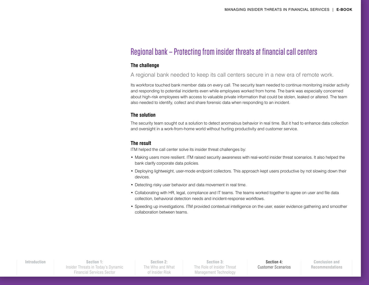#### Regional bank – Protecting from insider threats at financial call centers

#### **The challenge**

A regional bank needed to keep its call centers secure in a new era of remote work.

Its workforce touched bank member data on every call. The security team needed to continue monitoring insider activity and responding to potential incidents even while employees worked from home. The bank was especially concerned about high-risk employees with access to valuable private information that could be stolen, leaked or altered. The team also needed to identify, collect and share forensic data when responding to an incident.

#### **The solution**

The security team sought out a solution to detect anomalous behavior in real time. But it had to enhance data collection and oversight in a work-from-home world without hurting productivity and customer service.

#### **The result**

ITM helped the call center solve its insider threat challenges by:

- Making users more resilient. ITM raised security awareness with real-world insider threat scenarios. It also helped the bank clarify corporate data policies.
- Deploying lightweight, user-mode endpoint collectors. This approach kept users productive by not slowing down their devices.
- Detecting risky user behavior and data movement in real time.
- Collaborating with HR, legal, compliance and IT teams. The teams worked together to agree on user and file data collection, behavioral detection needs and incident-response workflows.
- Speeding up investigations. ITM provided contextual intelligence on the user, easier evidence gathering and smoother collaboration between teams.

**Section 2:** [The Who and What](#page-3-0)  of Insider Risk

**Section 3:** [The Role of Insider Threat](#page-5-0)  Management Technology

[Customer Scenarios](#page-6-0)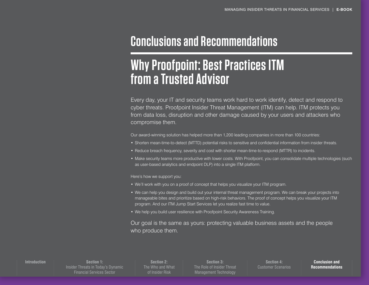### <span id="page-9-0"></span>**Conclusions and Recommendations**

### **Why Proofpoint: Best Practices ITM from a Trusted Advisor**

Every day, your IT and security teams work hard to work identify, detect and respond to cyber threats. Proofpoint Insider Threat Management (ITM) can help. ITM protects you from data loss, disruption and other damage caused by your users and attackers who compromise them.

Our award-winning solution has helped more than 1,200 leading companies in more than 100 countries:

- Shorten mean-time-to-detect (MTTD) potential risks to sensitive and confidential information from insider threats.
- Reduce breach frequency, severity and cost with shorter mean-time-to-respond (MTTR) to incidents.
- Make security teams more productive with lower costs. With Proofpoint, you can consolidate multiple technologies (such as user-based analytics and endpoint DLP) into a single ITM platform.

Here's how we support you:

- We'll work with you on a proof of concept that helps you visualize your ITM program.
- We can help you design and build out your internal threat management program. We can break your projects into manageable bites and prioritize based on high-risk behaviors. The proof of concept helps you visualize your ITM program. And our ITM Jump Start Services let you realize fast time to value.
- We help you build user resilience with Proofpoint Security Awareness Training.

Our goal is the same as yours: protecting valuable business assets and the people who produce them.

#### **[Introduction](#page-1-0)**

**Section 1:** [Insider Threats in Today's Dynamic](#page-2-0)  Financial Services Sector

**Section 2:** [The Who and What](#page-3-0)  of Insider Risk

**Section 3:** [The Role of Insider Threat](#page-5-0)  Management Technology

**Section 4:**  [Customer Scenarios](#page-6-0)